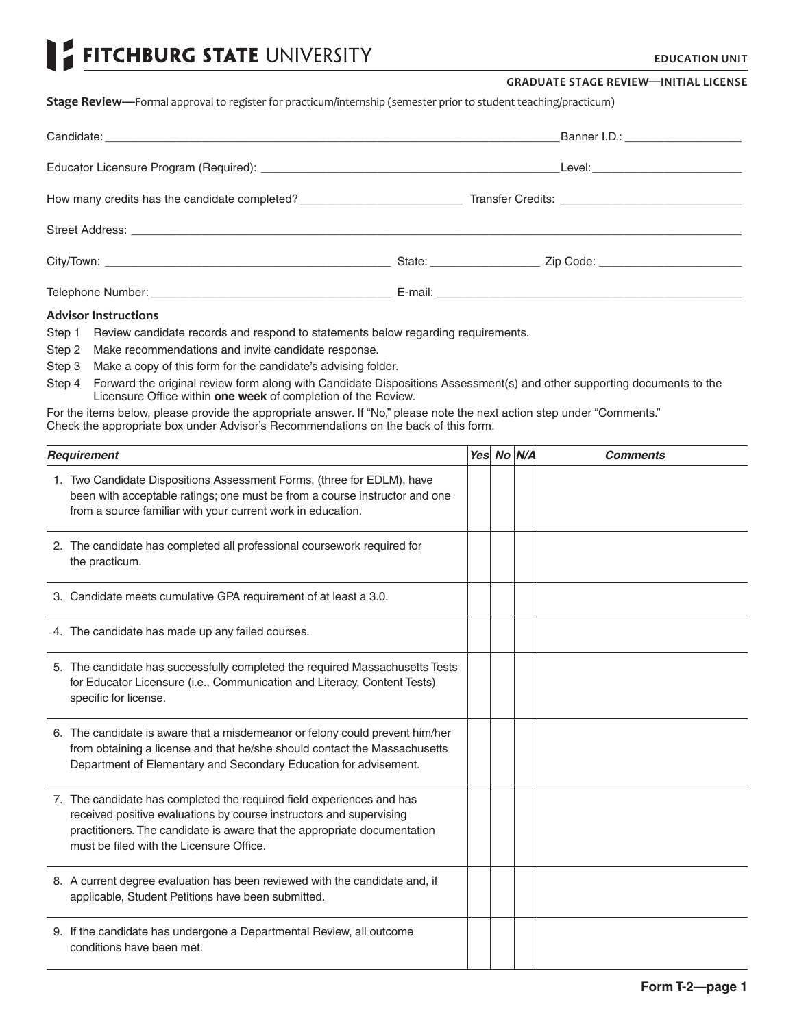# FITCHBURG STATE UNIVERSITY

#### **GRADUATE STAGE REVIEW—INITIAL LICENSE**

**Stage Review—**Formal approval to register for practicum/internship (semester prior to student teaching/practicum)

|                                               | Banner I.D.: ______________________    |
|-----------------------------------------------|----------------------------------------|
|                                               | _Level:_______________________________ |
| How many credits has the candidate completed? |                                        |
|                                               |                                        |
|                                               |                                        |
|                                               |                                        |

## **Advisor Instructions**

Step 1 Review candidate records and respond to statements below regarding requirements.

- Step 2 Make recommendations and invite candidate response.
- Step 3 Make a copy of this form for the candidate's advising folder.
- Step 4 Forward the original review form along with Candidate Dispositions Assessment(s) and other supporting documents to the Licensure Office within **one week** of completion of the Review.

For the items below, please provide the appropriate answer. If "No," please note the next action step under "Comments." Check the appropriate box under Advisor's Recommendations on the back of this form.

| Requirement                                                                                                                                                                                                                                                          | Yes No N/A | <b>Comments</b> |
|----------------------------------------------------------------------------------------------------------------------------------------------------------------------------------------------------------------------------------------------------------------------|------------|-----------------|
| 1. Two Candidate Dispositions Assessment Forms, (three for EDLM), have<br>been with acceptable ratings; one must be from a course instructor and one<br>from a source familiar with your current work in education.                                                  |            |                 |
| 2. The candidate has completed all professional coursework required for<br>the practicum.                                                                                                                                                                            |            |                 |
| 3. Candidate meets cumulative GPA requirement of at least a 3.0.                                                                                                                                                                                                     |            |                 |
| 4. The candidate has made up any failed courses.                                                                                                                                                                                                                     |            |                 |
| 5. The candidate has successfully completed the required Massachusetts Tests<br>for Educator Licensure (i.e., Communication and Literacy, Content Tests)<br>specific for license.                                                                                    |            |                 |
| 6. The candidate is aware that a misdemeanor or felony could prevent him/her<br>from obtaining a license and that he/she should contact the Massachusetts<br>Department of Elementary and Secondary Education for advisement.                                        |            |                 |
| 7. The candidate has completed the required field experiences and has<br>received positive evaluations by course instructors and supervising<br>practitioners. The candidate is aware that the appropriate documentation<br>must be filed with the Licensure Office. |            |                 |
| 8. A current degree evaluation has been reviewed with the candidate and, if<br>applicable, Student Petitions have been submitted.                                                                                                                                    |            |                 |
| 9. If the candidate has undergone a Departmental Review, all outcome<br>conditions have been met.                                                                                                                                                                    |            |                 |